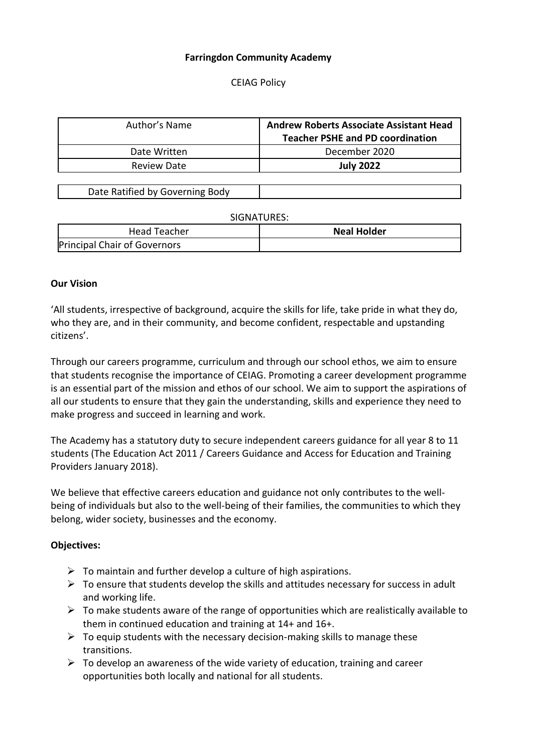### **Farringdon Community Academy**

CEIAG Policy

| Author's Name      | <b>Andrew Roberts Associate Assistant Head</b><br><b>Teacher PSHE and PD coordination</b> |
|--------------------|-------------------------------------------------------------------------------------------|
| Date Written       | December 2020                                                                             |
| <b>Review Date</b> | <b>July 2022</b>                                                                          |

| Date Ratified by Governing Body |  |
|---------------------------------|--|
|                                 |  |

#### SIGNATURES:

| Head Teacher                 | <b>Neal Holder</b> |
|------------------------------|--------------------|
| Principal Chair of Governors |                    |

#### **Our Vision**

'All students, irrespective of background, acquire the skills for life, take pride in what they do, who they are, and in their community, and become confident, respectable and upstanding citizens'.

Through our careers programme, curriculum and through our school ethos, we aim to ensure that students recognise the importance of CEIAG. Promoting a career development programme is an essential part of the mission and ethos of our school. We aim to support the aspirations of all our students to ensure that they gain the understanding, skills and experience they need to make progress and succeed in learning and work.

The Academy has a statutory duty to secure independent careers guidance for all year 8 to 11 students (The Education Act 2011 / Careers Guidance and Access for Education and Training Providers January 2018).

We believe that effective careers education and guidance not only contributes to the wellbeing of individuals but also to the well-being of their families, the communities to which they belong, wider society, businesses and the economy.

#### **Objectives:**

- $\triangleright$  To maintain and further develop a culture of high aspirations.
- $\triangleright$  To ensure that students develop the skills and attitudes necessary for success in adult and working life.
- $\triangleright$  To make students aware of the range of opportunities which are realistically available to them in continued education and training at 14+ and 16+.
- $\triangleright$  To equip students with the necessary decision-making skills to manage these transitions.
- $\triangleright$  To develop an awareness of the wide variety of education, training and career opportunities both locally and national for all students.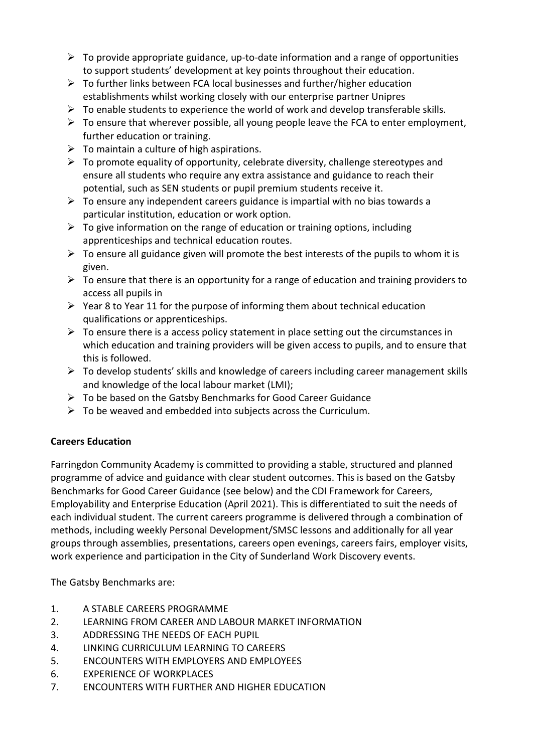- $\triangleright$  To provide appropriate guidance, up-to-date information and a range of opportunities to support students' development at key points throughout their education.
- $\triangleright$  To further links between FCA local businesses and further/higher education establishments whilst working closely with our enterprise partner Unipres
- $\triangleright$  To enable students to experience the world of work and develop transferable skills.
- $\triangleright$  To ensure that wherever possible, all young people leave the FCA to enter employment, further education or training.
- $\triangleright$  To maintain a culture of high aspirations.
- $\triangleright$  To promote equality of opportunity, celebrate diversity, challenge stereotypes and ensure all students who require any extra assistance and guidance to reach their potential, such as SEN students or pupil premium students receive it.
- $\triangleright$  To ensure any independent careers guidance is impartial with no bias towards a particular institution, education or work option.
- $\triangleright$  To give information on the range of education or training options, including apprenticeships and technical education routes.
- $\triangleright$  To ensure all guidance given will promote the best interests of the pupils to whom it is given.
- $\triangleright$  To ensure that there is an opportunity for a range of education and training providers to access all pupils in
- $\triangleright$  Year 8 to Year 11 for the purpose of informing them about technical education qualifications or apprenticeships.
- $\triangleright$  To ensure there is a access policy statement in place setting out the circumstances in which education and training providers will be given access to pupils, and to ensure that this is followed.
- $\triangleright$  To develop students' skills and knowledge of careers including career management skills and knowledge of the local labour market (LMI);
- $\triangleright$  To be based on the Gatsby Benchmarks for Good Career Guidance
- $\triangleright$  To be weaved and embedded into subjects across the Curriculum.

# **Careers Education**

Farringdon Community Academy is committed to providing a stable, structured and planned programme of advice and guidance with clear student outcomes. This is based on the Gatsby Benchmarks for Good Career Guidance (see below) and the CDI Framework for Careers, Employability and Enterprise Education (April 2021). This is differentiated to suit the needs of each individual student. The current careers programme is delivered through a combination of methods, including weekly Personal Development/SMSC lessons and additionally for all year groups through assemblies, presentations, careers open evenings, careers fairs, employer visits, work experience and participation in the City of Sunderland Work Discovery events.

The Gatsby Benchmarks are:

- 1. A STABLE CAREERS PROGRAMME
- 2. LEARNING FROM CAREER AND LABOUR MARKET INFORMATION
- 3. ADDRESSING THE NEEDS OF EACH PUPIL
- 4. LINKING CURRICULUM LEARNING TO CAREERS
- 5. ENCOUNTERS WITH EMPLOYERS AND EMPLOYEES
- 6. EXPERIENCE OF WORKPLACES
- 7. ENCOUNTERS WITH FURTHER AND HIGHER EDUCATION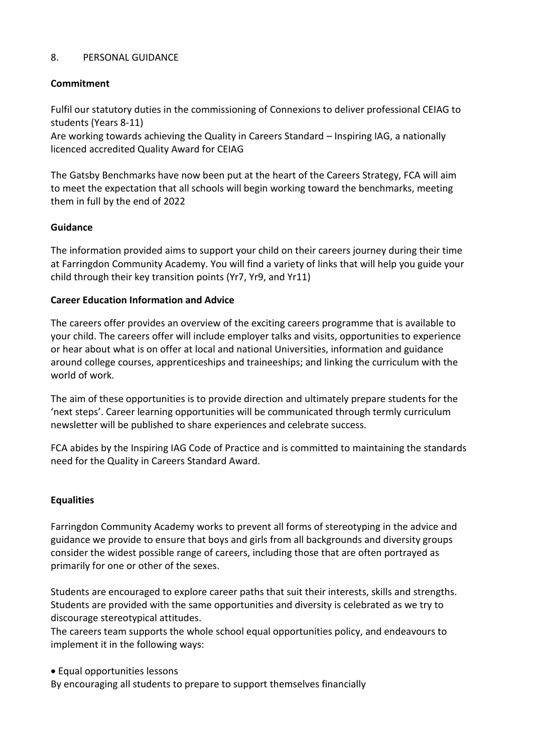### 8. PERSONAL GUIDANCE

# **Commitment**

Fulfil our statutory duties in the commissioning of Connexions to deliver professional CEIAG to students (Years 8-11)

Are working towards achieving the Quality in Careers Standard – Inspiring IAG, a nationally licenced accredited Quality Award for CEIAG

The Gatsby Benchmarks have now been put at the heart of the Careers Strategy, FCA will aim to meet the expectation that all schools will begin working toward the benchmarks, meeting them in full by the end of 2022

# **Guidance**

The information provided aims to support your child on their careers journey during their time at Farringdon Community Academy. You will find a variety of links that will help you guide your child through their key transition points (Yr7, Yr9, and Yr11)

### **Career Education Information and Advice**

The careers offer provides an overview of the exciting careers programme that is available to your child. The careers offer will include employer talks and visits, opportunities to experience or hear about what is on offer at local and national Universities, information and guidance around college courses, apprenticeships and traineeships; and linking the curriculum with the world of work.

The aim of these opportunities is to provide direction and ultimately prepare students for the 'next steps'. Career learning opportunities will be communicated through termly curriculum newsletter will be published to share experiences and celebrate success.

FCA abides by the Inspiring IAG Code of Practice and is committed to maintaining the standards need for the Quality in Careers Standard Award.

# **Equalities**

Farringdon Community Academy works to prevent all forms of stereotyping in the advice and guidance we provide to ensure that boys and girls from all backgrounds and diversity groups consider the widest possible range of careers, including those that are often portrayed as primarily for one or other of the sexes.

Students are encouraged to explore career paths that suit their interests, skills and strengths. Students are provided with the same opportunities and diversity is celebrated as we try to discourage stereotypical attitudes.

The careers team supports the whole school equal opportunities policy, and endeavours to implement it in the following ways:

Equal opportunities lessons

By encouraging all students to prepare to support themselves financially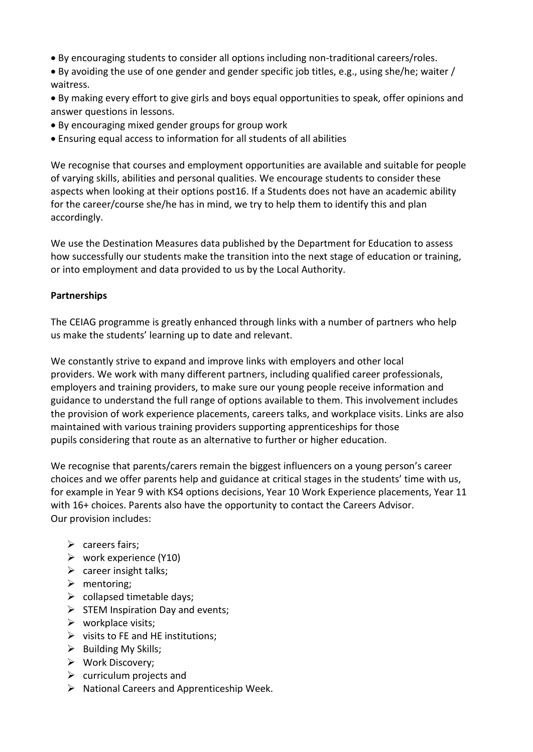- By encouraging students to consider all options including non-traditional careers/roles.
- By avoiding the use of one gender and gender specific job titles, e.g., using she/he; waiter / waitress.
- By making every effort to give girls and boys equal opportunities to speak, offer opinions and answer questions in lessons.
- By encouraging mixed gender groups for group work
- Ensuring equal access to information for all students of all abilities

We recognise that courses and employment opportunities are available and suitable for people of varying skills, abilities and personal qualities. We encourage students to consider these aspects when looking at their options post16. If a Students does not have an academic ability for the career/course she/he has in mind, we try to help them to identify this and plan accordingly.

We use the Destination Measures data published by the Department for Education to assess how successfully our students make the transition into the next stage of education or training, or into employment and data provided to us by the Local Authority.

# **Partnerships**

The CEIAG programme is greatly enhanced through links with a number of partners who help us make the students' learning up to date and relevant.

We constantly strive to expand and improve links with employers and other local providers. We work with many different partners, including qualified career professionals, employers and training providers, to make sure our young people receive information and guidance to understand the full range of options available to them. This involvement includes the provision of work experience placements, careers talks, and workplace visits. Links are also maintained with various training providers supporting apprenticeships for those pupils considering that route as an alternative to further or higher education.

We recognise that parents/carers remain the biggest influencers on a young person's career choices and we offer parents help and guidance at critical stages in the students' time with us, for example in Year 9 with KS4 options decisions, Year 10 Work Experience placements, Year 11 with 16+ choices. Parents also have the opportunity to contact the Careers Advisor. Our provision includes:

- $\triangleright$  careers fairs:
- $\triangleright$  work experience (Y10)
- $\triangleright$  career insight talks;
- $\triangleright$  mentoring;
- $\triangleright$  collapsed timetable days;
- $\triangleright$  STEM Inspiration Day and events;
- $\triangleright$  workplace visits;
- $\triangleright$  visits to FE and HE institutions;
- $\triangleright$  Building My Skills;
- Work Discovery;
- $\triangleright$  curriculum projects and
- $\triangleright$  National Careers and Apprenticeship Week.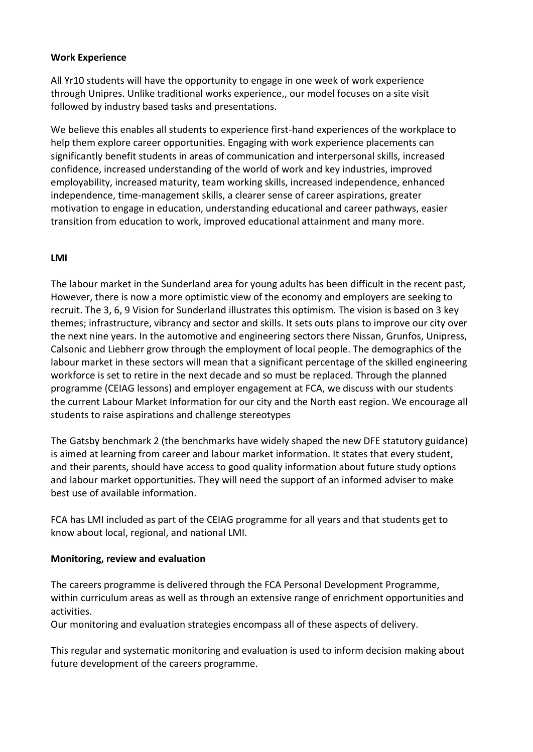### **Work Experience**

All Yr10 students will have the opportunity to engage in one week of work experience through Unipres. Unlike traditional works experience,, our model focuses on a site visit followed by industry based tasks and presentations.

We believe this enables all students to experience first-hand experiences of the workplace to help them explore career opportunities. Engaging with work experience placements can significantly benefit students in areas of communication and interpersonal skills, increased confidence, increased understanding of the world of work and key industries, improved employability, increased maturity, team working skills, increased independence, enhanced independence, time-management skills, a clearer sense of career aspirations, greater motivation to engage in education, understanding educational and career pathways, easier transition from education to work, improved educational attainment and many more.

### **LMI**

The labour market in the Sunderland area for young adults has been difficult in the recent past, However, there is now a more optimistic view of the economy and employers are seeking to recruit. The 3, 6, 9 Vision for Sunderland illustrates this optimism. The vision is based on 3 key themes; infrastructure, vibrancy and sector and skills. It sets outs plans to improve our city over the next nine years. In the automotive and engineering sectors there Nissan, Grunfos, Unipress, Calsonic and Liebherr grow through the employment of local people. The demographics of the labour market in these sectors will mean that a significant percentage of the skilled engineering workforce is set to retire in the next decade and so must be replaced. Through the planned programme (CEIAG lessons) and employer engagement at FCA, we discuss with our students the current Labour Market Information for our city and the North east region. We encourage all students to raise aspirations and challenge stereotypes

The Gatsby benchmark 2 (the benchmarks have widely shaped the new DFE statutory guidance) is aimed at learning from career and labour market information. It states that every student, and their parents, should have access to good quality information about future study options and labour market opportunities. They will need the support of an informed adviser to make best use of available information.

FCA has LMI included as part of the CEIAG programme for all years and that students get to know about local, regional, and national LMI.

#### **Monitoring, review and evaluation**

The careers programme is delivered through the FCA Personal Development Programme, within curriculum areas as well as through an extensive range of enrichment opportunities and activities.

Our monitoring and evaluation strategies encompass all of these aspects of delivery.

This regular and systematic monitoring and evaluation is used to inform decision making about future development of the careers programme.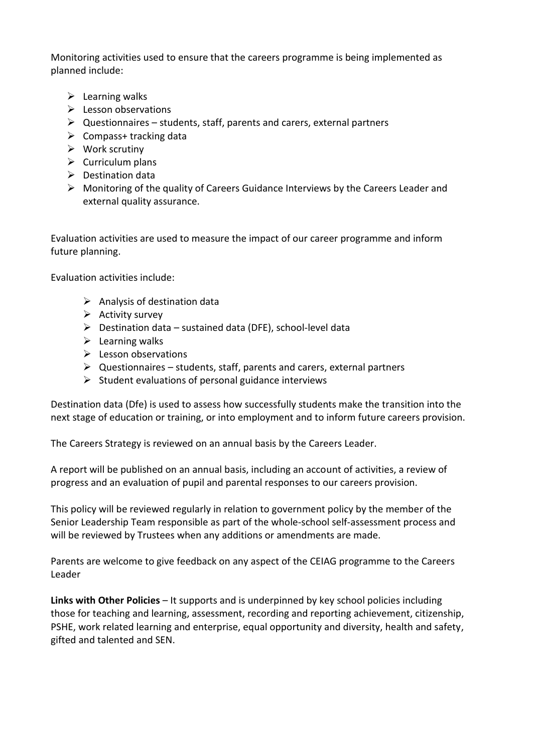Monitoring activities used to ensure that the careers programme is being implemented as planned include:

- $\triangleright$  Learning walks
- $\triangleright$  Lesson observations
- $\triangleright$  Questionnaires students, staff, parents and carers, external partners
- $\triangleright$  Compass+ tracking data
- $\triangleright$  Work scrutiny
- $\triangleright$  Curriculum plans
- $\triangleright$  Destination data
- $\triangleright$  Monitoring of the quality of Careers Guidance Interviews by the Careers Leader and external quality assurance.

Evaluation activities are used to measure the impact of our career programme and inform future planning.

Evaluation activities include:

- $\triangleright$  Analysis of destination data
- $\triangleright$  Activity survey
- $\triangleright$  Destination data sustained data (DFE), school-level data
- $\triangleright$  Learning walks
- $\triangleright$  Lesson observations
- $\triangleright$  Questionnaires students, staff, parents and carers, external partners
- $\triangleright$  Student evaluations of personal guidance interviews

Destination data (Dfe) is used to assess how successfully students make the transition into the next stage of education or training, or into employment and to inform future careers provision.

The Careers Strategy is reviewed on an annual basis by the Careers Leader.

A report will be published on an annual basis, including an account of activities, a review of progress and an evaluation of pupil and parental responses to our careers provision.

This policy will be reviewed regularly in relation to government policy by the member of the Senior Leadership Team responsible as part of the whole-school self-assessment process and will be reviewed by Trustees when any additions or amendments are made.

Parents are welcome to give feedback on any aspect of the CEIAG programme to the Careers Leader

**Links with Other Policies** – It supports and is underpinned by key school policies including those for teaching and learning, assessment, recording and reporting achievement, citizenship, PSHE, work related learning and enterprise, equal opportunity and diversity, health and safety, gifted and talented and SEN.